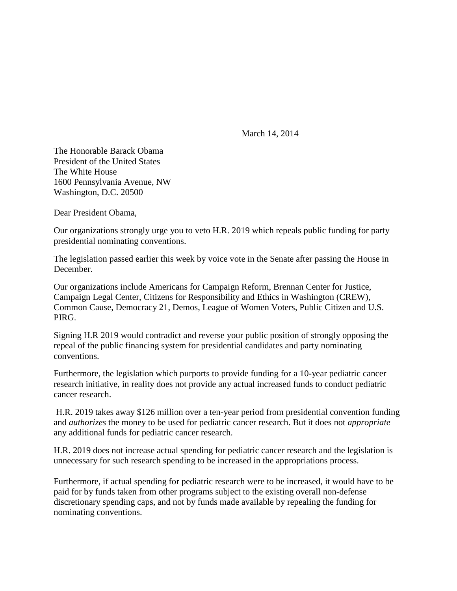March 14, 2014

The Honorable Barack Obama President of the United States The White House 1600 Pennsylvania Avenue, NW Washington, D.C. 20500

Dear President Obama,

Our organizations strongly urge you to veto H.R. 2019 which repeals public funding for party presidential nominating conventions.

The legislation passed earlier this week by voice vote in the Senate after passing the House in December.

Our organizations include Americans for Campaign Reform, Brennan Center for Justice, Campaign Legal Center, Citizens for Responsibility and Ethics in Washington (CREW), Common Cause, Democracy 21, Demos, League of Women Voters, Public Citizen and U.S. PIRG.

Signing H.R 2019 would contradict and reverse your public position of strongly opposing the repeal of the public financing system for presidential candidates and party nominating conventions.

Furthermore, the legislation which purports to provide funding for a 10-year pediatric cancer research initiative, in reality does not provide any actual increased funds to conduct pediatric cancer research.

H.R. 2019 takes away \$126 million over a ten-year period from presidential convention funding and *authorizes* the money to be used for pediatric cancer research. But it does not *appropriate*  any additional funds for pediatric cancer research.

H.R. 2019 does not increase actual spending for pediatric cancer research and the legislation is unnecessary for such research spending to be increased in the appropriations process.

Furthermore, if actual spending for pediatric research were to be increased, it would have to be paid for by funds taken from other programs subject to the existing overall non-defense discretionary spending caps, and not by funds made available by repealing the funding for nominating conventions.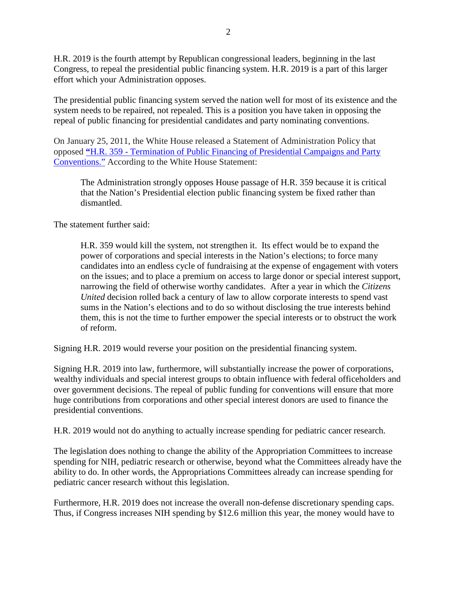H.R. 2019 is the fourth attempt by Republican congressional leaders, beginning in the last Congress, to repeal the presidential public financing system. H.R. 2019 is a part of this larger effort which your Administration opposes.

The presidential public financing system served the nation well for most of its existence and the system needs to be repaired, not repealed. This is a position you have taken in opposing the repeal of public financing for presidential candidates and party nominating conventions.

On January 25, 2011, the White House released a Statement of Administration Policy that opposed **"**H.R. 359 - [Termination of Public Financing of Presidential Campaigns and Party](http://www.whitehouse.gov/sites/default/files/omb/legislative/sap/112/saphr359r_20110125.pdf)  [Conventions."](http://www.whitehouse.gov/sites/default/files/omb/legislative/sap/112/saphr359r_20110125.pdf) According to the White House Statement:

The Administration strongly opposes House passage of H.R. 359 because it is critical that the Nation's Presidential election public financing system be fixed rather than dismantled.

The statement further said:

H.R. 359 would kill the system, not strengthen it. Its effect would be to expand the power of corporations and special interests in the Nation's elections; to force many candidates into an endless cycle of fundraising at the expense of engagement with voters on the issues; and to place a premium on access to large donor or special interest support, narrowing the field of otherwise worthy candidates. After a year in which the *Citizens United* decision rolled back a century of law to allow corporate interests to spend vast sums in the Nation's elections and to do so without disclosing the true interests behind them, this is not the time to further empower the special interests or to obstruct the work of reform.

Signing H.R. 2019 would reverse your position on the presidential financing system.

Signing H.R. 2019 into law, furthermore, will substantially increase the power of corporations, wealthy individuals and special interest groups to obtain influence with federal officeholders and over government decisions. The repeal of public funding for conventions will ensure that more huge contributions from corporations and other special interest donors are used to finance the presidential conventions.

H.R. 2019 would not do anything to actually increase spending for pediatric cancer research.

The legislation does nothing to change the ability of the Appropriation Committees to increase spending for NIH, pediatric research or otherwise, beyond what the Committees already have the ability to do. In other words, the Appropriations Committees already can increase spending for pediatric cancer research without this legislation.

Furthermore, H.R. 2019 does not increase the overall non-defense discretionary spending caps. Thus, if Congress increases NIH spending by \$12.6 million this year, the money would have to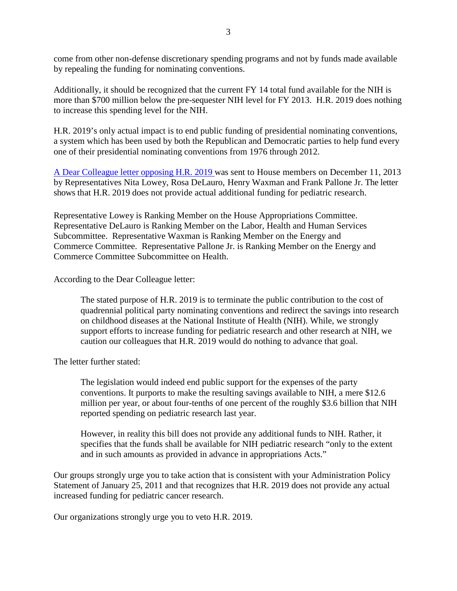come from other non-defense discretionary spending programs and not by funds made available by repealing the funding for nominating conventions.

Additionally, it should be recognized that the current FY 14 total fund available for the NIH is more than \$700 million below the pre-sequester NIH level for FY 2013. H.R. 2019 does nothing to increase this spending level for the NIH.

H.R. 2019's only actual impact is to end public funding of presidential nominating conventions, a system which has been used by both the Republican and Democratic parties to help fund every one of their presidential nominating conventions from 1976 through 2012.

A Dear Colleague [letter opposing H.R. 2019 w](http://democrats.energycommerce.house.gov/sites/default/files/documents/Dear-Colleague-Opposed-So-Called-Kids-First-Research-Act-2013-12-11.pdf)as sent to House members on December 11, 2013 by Representatives Nita Lowey, Rosa DeLauro, Henry Waxman and Frank Pallone Jr. The letter shows that H.R. 2019 does not provide actual additional funding for pediatric research.

Representative Lowey is Ranking Member on the House Appropriations Committee. Representative DeLauro is Ranking Member on the Labor, Health and Human Services Subcommittee. Representative Waxman is Ranking Member on the Energy and Commerce Committee. Representative Pallone Jr. is Ranking Member on the Energy and Commerce Committee Subcommittee on Health.

According to the Dear Colleague letter:

The stated purpose of H.R. 2019 is to terminate the public contribution to the cost of quadrennial political party nominating conventions and redirect the savings into research on childhood diseases at the National Institute of Health (NIH). While, we strongly support efforts to increase funding for pediatric research and other research at NIH, we caution our colleagues that H.R. 2019 would do nothing to advance that goal.

The letter further stated:

The legislation would indeed end public support for the expenses of the party conventions. It purports to make the resulting savings available to NIH, a mere \$12.6 million per year, or about four-tenths of one percent of the roughly \$3.6 billion that NIH reported spending on pediatric research last year.

However, in reality this bill does not provide any additional funds to NIH. Rather, it specifies that the funds shall be available for NIH pediatric research "only to the extent and in such amounts as provided in advance in appropriations Acts."

Our groups strongly urge you to take action that is consistent with your Administration Policy Statement of January 25, 2011 and that recognizes that H.R. 2019 does not provide any actual increased funding for pediatric cancer research.

Our organizations strongly urge you to veto H.R. 2019.